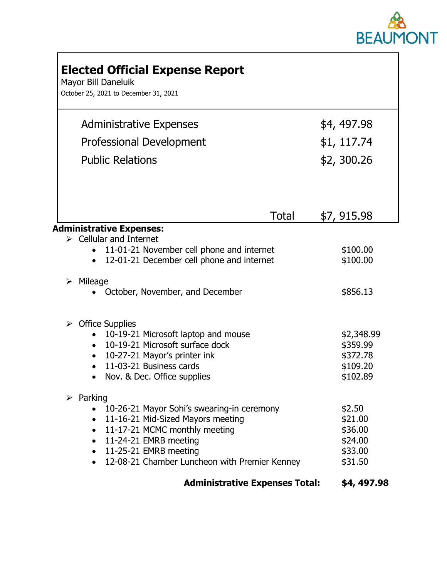

| <b>Elected Official Expense Report</b><br>Mayor Bill Daneluik<br>October 25, 2021 to December 31, 2021                                                                                                                                                                      |                                                               |
|-----------------------------------------------------------------------------------------------------------------------------------------------------------------------------------------------------------------------------------------------------------------------------|---------------------------------------------------------------|
| <b>Administrative Expenses</b>                                                                                                                                                                                                                                              | \$4, 497.98                                                   |
| <b>Professional Development</b>                                                                                                                                                                                                                                             | \$1, 117.74                                                   |
| <b>Public Relations</b>                                                                                                                                                                                                                                                     | \$2,300.26                                                    |
| Total                                                                                                                                                                                                                                                                       | \$7,915.98                                                    |
| <b>Administrative Expenses:</b><br>$\triangleright$ Cellular and Internet<br>11-01-21 November cell phone and internet<br>12-01-21 December cell phone and internet                                                                                                         | \$100.00<br>\$100.00                                          |
| $\triangleright$ Mileage<br>October, November, and December                                                                                                                                                                                                                 | \$856.13                                                      |
| $\triangleright$ Office Supplies<br>10-19-21 Microsoft laptop and mouse<br>10-19-21 Microsoft surface dock<br>10-27-21 Mayor's printer ink<br>$\bullet$<br>11-03-21 Business cards<br>Nov. & Dec. Office supplies                                                           | \$2,348.99<br>\$359.99<br>\$372.78<br>\$109.20<br>\$102.89    |
| $\triangleright$ Parking<br>10-26-21 Mayor Sohi's swearing-in ceremony<br>11-16-21 Mid-Sized Mayors meeting<br>11-17-21 MCMC monthly meeting<br>$\bullet$<br>11-24-21 EMRB meeting<br>$\bullet$<br>• 11-25-21 EMRB meeting<br>12-08-21 Chamber Luncheon with Premier Kenney | \$2.50<br>\$21.00<br>\$36.00<br>\$24.00<br>\$33.00<br>\$31.50 |
| <b>Administrative Expenses Total:</b>                                                                                                                                                                                                                                       | \$4, 497.98                                                   |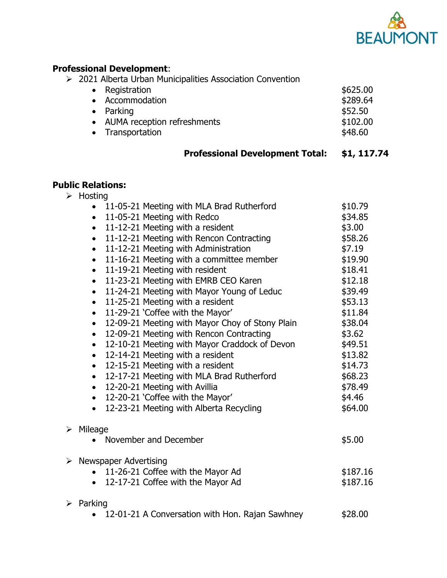

## **Professional Development**:

|  |  |  |  |  |  |  | $\geq$ 2021 Alberta Urban Municipalities Association Convention |
|--|--|--|--|--|--|--|-----------------------------------------------------------------|
|--|--|--|--|--|--|--|-----------------------------------------------------------------|

| \$625.00                                                                                                    |
|-------------------------------------------------------------------------------------------------------------|
| \$289.64                                                                                                    |
| \$52.50                                                                                                     |
| \$102.00                                                                                                    |
| \$48.60                                                                                                     |
| • Registration<br>• Accommodation<br>$\bullet$ Parking<br>• AUMA reception refreshments<br>• Transportation |

# **Professional Development Total: \$1, 117.74**

#### **Public Relations:**

 $\blacktriangleright$ 

 $\triangleright$ 

| $\bullet$<br>$\bullet$<br>$\bullet$<br>$\bullet$<br>$\bullet$<br>$\bullet$<br>$\bullet$<br>$\bullet$<br>$\bullet$<br>$\bullet$<br>$\bullet$<br>$\bullet$<br>$\bullet$<br>$\bullet$ | 11-05-21 Meeting with MLA Brad Rutherford<br>11-05-21 Meeting with Redco<br>11-12-21 Meeting with a resident<br>11-12-21 Meeting with Rencon Contracting<br>11-12-21 Meeting with Administration<br>11-16-21 Meeting with a committee member<br>11-19-21 Meeting with resident<br>11-23-21 Meeting with EMRB CEO Karen                                                                                                                                                                                  | \$10.79<br>\$34.85<br>\$3.00<br>\$58.26<br>\$7.19<br>\$19.90<br>\$18.41                                                                   |
|------------------------------------------------------------------------------------------------------------------------------------------------------------------------------------|---------------------------------------------------------------------------------------------------------------------------------------------------------------------------------------------------------------------------------------------------------------------------------------------------------------------------------------------------------------------------------------------------------------------------------------------------------------------------------------------------------|-------------------------------------------------------------------------------------------------------------------------------------------|
| $\bullet$<br>$\bullet$<br>$\bullet$<br>$\bullet$<br>$\bullet$                                                                                                                      | 11-24-21 Meeting with Mayor Young of Leduc<br>11-25-21 Meeting with a resident<br>11-29-21 'Coffee with the Mayor'<br>12-09-21 Meeting with Mayor Choy of Stony Plain<br>12-09-21 Meeting with Rencon Contracting<br>12-10-21 Meeting with Mayor Craddock of Devon<br>12-14-21 Meeting with a resident<br>12-15-21 Meeting with a resident<br>12-17-21 Meeting with MLA Brad Rutherford<br>12-20-21 Meeting with Avillia<br>12-20-21 'Coffee with the Mayor'<br>12-23-21 Meeting with Alberta Recycling | \$12.18<br>\$39.49<br>\$53.13<br>\$11.84<br>\$38.04<br>\$3.62<br>\$49.51<br>\$13.82<br>\$14.73<br>\$68.23<br>\$78.49<br>\$4.46<br>\$64.00 |
| $\triangleright$ Mileage<br>November and December                                                                                                                                  |                                                                                                                                                                                                                                                                                                                                                                                                                                                                                                         | \$5.00                                                                                                                                    |
| $\triangleright$ Newspaper Advertising                                                                                                                                             | 11-26-21 Coffee with the Mayor Ad<br>12-17-21 Coffee with the Mayor Ad                                                                                                                                                                                                                                                                                                                                                                                                                                  | \$187.16<br>\$187.16                                                                                                                      |
| $\triangleright$ Parking                                                                                                                                                           | 12-01-21 A Conversation with Hon. Rajan Sawhney                                                                                                                                                                                                                                                                                                                                                                                                                                                         | \$28.00                                                                                                                                   |